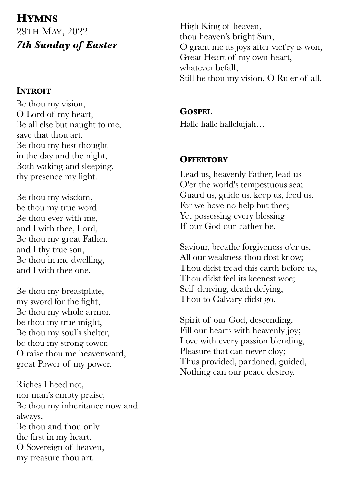# **HYMNS** 29TH MAY, 2022 *7th Sunday of Easter*

## **INTROIT**

Be thou my vision, O Lord of my heart, Be all else but naught to me, save that thou art, Be thou my best thought in the day and the night, Both waking and sleeping, thy presence my light.

Be thou my wisdom, be thou my true word Be thou ever with me, and I with thee, Lord, Be thou my great Father, and I thy true son, Be thou in me dwelling, and I with thee one.

Be thou my breastplate, my sword for the fight, Be thou my whole armor, be thou my true might, Be thou my soul's shelter, be thou my strong tower, O raise thou me heavenward, great Power of my power.

Riches I heed not, nor man's empty praise, Be thou my inheritance now and always, Be thou and thou only the first in my heart, O Sovereign of heaven, my treasure thou art.

High King of heaven, thou heaven's bright Sun, O grant me its joys after vict'ry is won, Great Heart of my own heart, whatever befall, Still be thou my vision, O Ruler of all.

# **GOSPEL**

Halle halle halleluijah…

# **OFFERTORY**

Lead us, heavenly Father, lead us O'er the world's tempestuous sea; Guard us, guide us, keep us, feed us, For we have no help but thee; Yet possessing every blessing If our God our Father be.

Saviour, breathe forgiveness o'er us, All our weakness thou dost know; Thou didst tread this earth before us, Thou didst feel its keenest woe; Self denying, death defying, Thou to Calvary didst go.

Spirit of our God, descending, Fill our hearts with heavenly joy; Love with every passion blending, Pleasure that can never cloy; Thus provided, pardoned, guided, Nothing can our peace destroy.